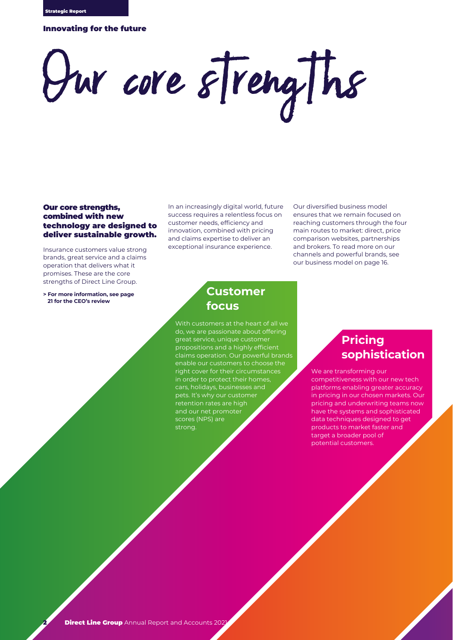### Innovating for the future

# Our core strengths

### Our core strengths, combined with new technology are designed to deliver sustainable growth.

Insurance customers value strong brands, great service and a claims operation that delivers what it promises. These are the core strengths of Direct Line Group.

**> For more information, see page 21 for the CEO's review**

In an increasingly digital world, future success requires a relentless focus on customer needs, efficiency and innovation, combined with pricing and claims expertise to deliver an exceptional insurance experience.

Our diversified business model ensures that we remain focused on reaching customers through the four main routes to market: direct, price comparison websites, partnerships and brokers. To read more on our channels and powerful brands, see our business model on page 16.

### **Customer focus**

With customers at the heart of all we do, we are passionate about offering great service, unique customer propositions and a highly efficient claims operation. Our powerful brands enable our customers to choose the right cover for their circumstances in order to protect their homes cars, holidays, businesses and pets. It's why our customer retention rates are high and our net promoter scores (NPS) are strong.

# **Pricing sophistication**

We are transforming our competitiveness with our new tech platforms enabling greater accuracy in pricing in our chosen markets. Our pricing and underwriting teams now have the systems and sophisticated data techniques designed to get products to market faster and target a broader pool of potential customers.

2